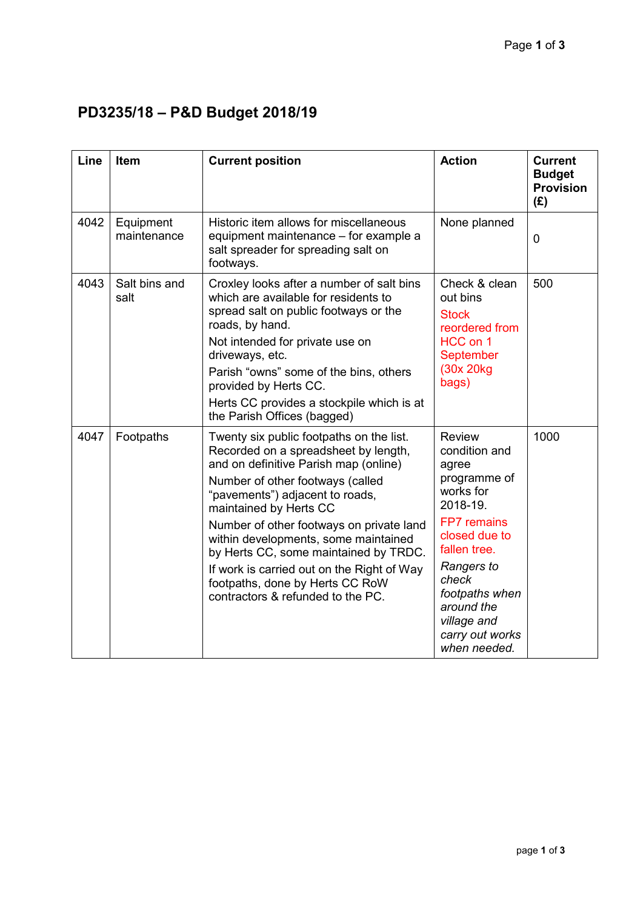## **PD3235/18 – P&D Budget 2018/19**

| Line | Item                     | <b>Current position</b>                                                                                                                                                                                                                                                                                                                                                                                                                                                       | <b>Action</b>                                                                                                                                                                                                                                    | <b>Current</b><br><b>Budget</b><br><b>Provision</b><br>(E) |
|------|--------------------------|-------------------------------------------------------------------------------------------------------------------------------------------------------------------------------------------------------------------------------------------------------------------------------------------------------------------------------------------------------------------------------------------------------------------------------------------------------------------------------|--------------------------------------------------------------------------------------------------------------------------------------------------------------------------------------------------------------------------------------------------|------------------------------------------------------------|
| 4042 | Equipment<br>maintenance | Historic item allows for miscellaneous<br>equipment maintenance - for example a<br>salt spreader for spreading salt on<br>footways.                                                                                                                                                                                                                                                                                                                                           | None planned                                                                                                                                                                                                                                     | $\overline{0}$                                             |
| 4043 | Salt bins and<br>salt    | Croxley looks after a number of salt bins<br>which are available for residents to<br>spread salt on public footways or the<br>roads, by hand.<br>Not intended for private use on<br>driveways, etc.<br>Parish "owns" some of the bins, others<br>provided by Herts CC.<br>Herts CC provides a stockpile which is at<br>the Parish Offices (bagged)                                                                                                                            | Check & clean<br>out bins<br><b>Stock</b><br>reordered from<br>HCC on 1<br><b>September</b><br>(30x 20kg)<br>bags)                                                                                                                               | 500                                                        |
| 4047 | Footpaths                | Twenty six public footpaths on the list.<br>Recorded on a spreadsheet by length,<br>and on definitive Parish map (online)<br>Number of other footways (called<br>"pavements") adjacent to roads,<br>maintained by Herts CC<br>Number of other footways on private land<br>within developments, some maintained<br>by Herts CC, some maintained by TRDC.<br>If work is carried out on the Right of Way<br>footpaths, done by Herts CC RoW<br>contractors & refunded to the PC. | <b>Review</b><br>condition and<br>agree<br>programme of<br>works for<br>2018-19.<br><b>FP7</b> remains<br>closed due to<br>fallen tree.<br>Rangers to<br>check<br>footpaths when<br>around the<br>village and<br>carry out works<br>when needed. | 1000                                                       |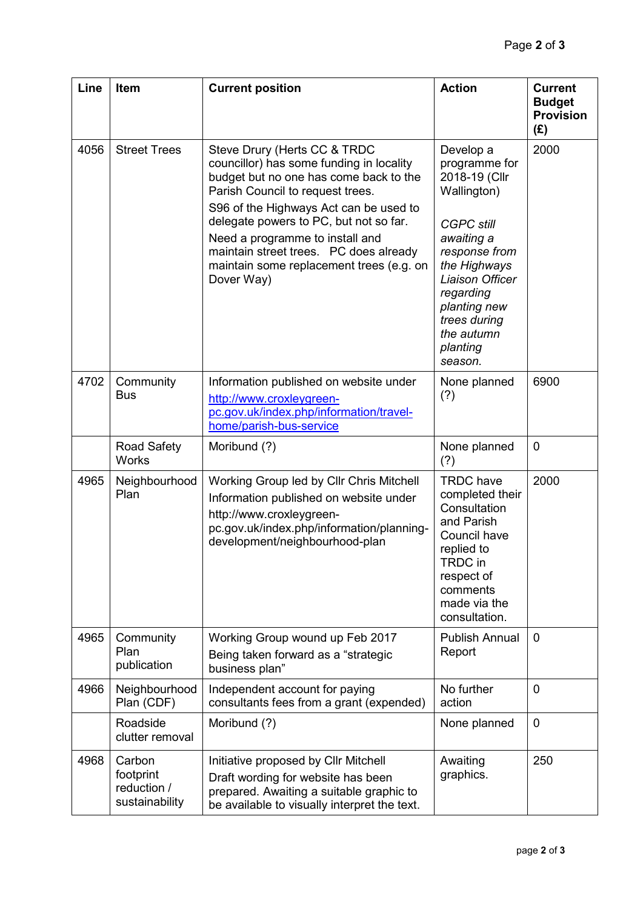| Line | <b>Item</b>                                          | <b>Current position</b>                                                                                                                                                                                                                                                                                                                                                           | <b>Action</b>                                                                                                                                                                                                                       | <b>Current</b><br><b>Budget</b><br><b>Provision</b><br>(E) |
|------|------------------------------------------------------|-----------------------------------------------------------------------------------------------------------------------------------------------------------------------------------------------------------------------------------------------------------------------------------------------------------------------------------------------------------------------------------|-------------------------------------------------------------------------------------------------------------------------------------------------------------------------------------------------------------------------------------|------------------------------------------------------------|
| 4056 | <b>Street Trees</b>                                  | Steve Drury (Herts CC & TRDC<br>councillor) has some funding in locality<br>budget but no one has come back to the<br>Parish Council to request trees.<br>S96 of the Highways Act can be used to<br>delegate powers to PC, but not so far.<br>Need a programme to install and<br>maintain street trees. PC does already<br>maintain some replacement trees (e.g. on<br>Dover Way) | Develop a<br>programme for<br>2018-19 (Cllr<br>Wallington)<br><b>CGPC still</b><br>awaiting a<br>response from<br>the Highways<br>Liaison Officer<br>regarding<br>planting new<br>trees during<br>the autumn<br>planting<br>season. | 2000                                                       |
| 4702 | Community<br><b>Bus</b>                              | Information published on website under<br>http://www.croxleygreen-<br>pc.gov.uk/index.php/information/travel-<br>home/parish-bus-service                                                                                                                                                                                                                                          | None planned<br>(?)                                                                                                                                                                                                                 | 6900                                                       |
|      | <b>Road Safety</b><br><b>Works</b>                   | Moribund (?)                                                                                                                                                                                                                                                                                                                                                                      | None planned<br>(?)                                                                                                                                                                                                                 | $\overline{0}$                                             |
| 4965 | Neighbourhood<br>Plan                                | Working Group led by Cllr Chris Mitchell<br>Information published on website under<br>http://www.croxleygreen-<br>pc.gov.uk/index.php/information/planning-<br>development/neighbourhood-plan                                                                                                                                                                                     | <b>TRDC</b> have<br>completed their<br>Consultation<br>and Parish<br>Council have<br>replied to<br>TRDC in<br>respect of<br>comments<br>made via the<br>consultation.                                                               | 2000                                                       |
| 4965 | Community<br>Plan<br>publication                     | Working Group wound up Feb 2017<br>Being taken forward as a "strategic<br>business plan"                                                                                                                                                                                                                                                                                          | <b>Publish Annual</b><br>Report                                                                                                                                                                                                     | 0                                                          |
| 4966 | Neighbourhood<br>Plan (CDF)                          | Independent account for paying<br>consultants fees from a grant (expended)                                                                                                                                                                                                                                                                                                        | No further<br>action                                                                                                                                                                                                                | $\mathbf 0$                                                |
|      | Roadside<br>clutter removal                          | Moribund (?)                                                                                                                                                                                                                                                                                                                                                                      | None planned                                                                                                                                                                                                                        | $\mathbf 0$                                                |
| 4968 | Carbon<br>footprint<br>reduction /<br>sustainability | Initiative proposed by Cllr Mitchell<br>Draft wording for website has been<br>prepared. Awaiting a suitable graphic to<br>be available to visually interpret the text.                                                                                                                                                                                                            | Awaiting<br>graphics.                                                                                                                                                                                                               | 250                                                        |